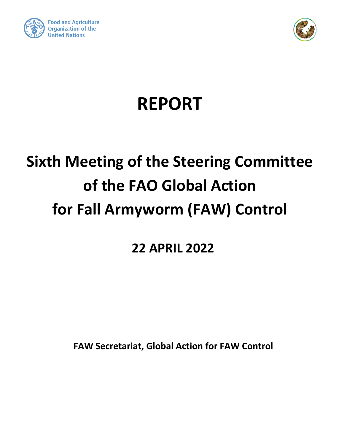



# **REPORT**

# **Sixth Meeting of the Steering Committee of the FAO Global Action for Fall Armyworm (FAW) Control**

## **22 APRIL 2022**

**FAW Secretariat, Global Action for FAW Control**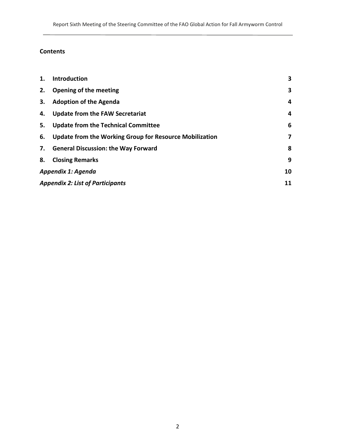#### **Contents**

| 1.                       | <b>Introduction</b>                                        | 3 |
|--------------------------|------------------------------------------------------------|---|
| 2.                       | Opening of the meeting                                     | 3 |
| 3.                       | <b>Adoption of the Agenda</b>                              | 4 |
| 4.                       | <b>Update from the FAW Secretariat</b>                     | 4 |
|                          | 5. Update from the Technical Committee                     | 6 |
|                          | 6. Update from the Working Group for Resource Mobilization | 7 |
|                          | 7. General Discussion: the Way Forward                     | 8 |
| 8.                       | <b>Closing Remarks</b>                                     | 9 |
| Appendix 1: Agenda<br>10 |                                                            |   |
|                          | <b>Appendix 2: List of Participants</b><br>11              |   |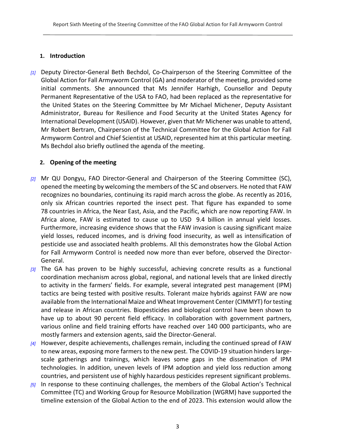#### <span id="page-2-0"></span>**1. Introduction**

*[1]* Deputy Director-General Beth Bechdol, Co-Chairperson of the Steering Committee of the Global Action for Fall Armyworm Control (GA) and moderator of the meeting, provided some initial comments. She announced that Ms Jennifer Harhigh, Counsellor and Deputy Permanent Representative of the USA to FAO, had been replaced as the representative for the United States on the Steering Committee by Mr Michael Michener, Deputy Assistant Administrator, Bureau for Resilience and Food Security at the United States Agency for International Development (USAID). However, given that Mr Michener was unable to attend, Mr Robert Bertram, Chairperson of the Technical Committee for the Global Action for Fall Armyworm Control and Chief Scientist at USAID, represented him at this particular meeting. Ms Bechdol also briefly outlined the agenda of the meeting.

#### <span id="page-2-1"></span>**2. Opening of the meeting**

- *[2]* Mr QU Dongyu, FAO Director-General and Chairperson of the Steering Committee (SC), opened the meeting by welcoming the members of the SC and observers. He noted that FAW recognizes no boundaries, continuing its rapid march across the globe. As recently as 2016, only six African countries reported the insect pest. That figure has expanded to some 78 countries in Africa, the Near East, Asia, and the Pacific, which are now reporting FAW. In Africa alone, FAW is estimated to cause up to USD 9.4 billion in annual yield losses. Furthermore, increasing evidence shows that the FAW invasion is causing significant maize yield losses, reduced incomes, and is driving food insecurity, as well as intensification of pesticide use and associated health problems. All this demonstrates how the Global Action for Fall Armyworm Control is needed now more than ever before, observed the Director-General.
- *[3]* The GA has proven to be highly successful, achieving concrete results as a functional coordination mechanism across global, regional, and national levels that are linked directly to activity in the farmers' fields. For example, several integrated pest management (IPM) tactics are being tested with positive results. Tolerant maize hybrids against FAW are now available from the International Maize and Wheat Improvement Center (CIMMYT) for testing and release in African countries. Biopesticides and biological control have been shown to have up to about 90 percent field efficacy. In collaboration with government partners, various online and field training efforts have reached over 140 000 participants, who are mostly farmers and extension agents, said the Director-General.
- *[4]* However, despite achievements, challenges remain, including the continued spread of FAW to new areas, exposing more farmers to the new pest. The COVID-19 situation hinders largescale gatherings and trainings, which leaves some gaps in the dissemination of IPM technologies. In addition, uneven levels of IPM adoption and yield loss reduction among countries, and persistent use of highly hazardous pesticides represent significant problems.
- *[5]* In response to these continuing challenges, the members of the Global Action's Technical Committee (TC) and Working Group for Resource Mobilization (WGRM) have supported the timeline extension of the Global Action to the end of 2023. This extension would allow the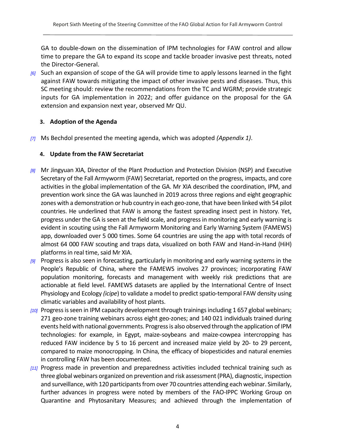GA to double-down on the dissemination of IPM technologies for FAW control and allow time to prepare the GA to expand its scope and tackle broader invasive pest threats, noted the Director-General.

*[6]* Such an expansion of scope of the GA will provide time to apply lessons learned in the fight against FAW towards mitigating the impact of other invasive pests and diseases. Thus, this SC meeting should: review the recommendations from the TC and WGRM; provide strategic inputs for GA implementation in 2022; and offer guidance on the proposal for the GA extension and expansion next year, observed Mr QU.

#### <span id="page-3-0"></span>**3. Adoption of the Agenda**

<span id="page-3-1"></span>*[7]* Ms Bechdol presented the meeting agenda, which was adopted *(Appendix 1)*.

#### **4. Update from the FAW Secretariat**

- *[8]* Mr Jingyuan XIA, Director of the Plant Production and Protection Division (NSP) and Executive Secretary of the Fall Armyworm (FAW) Secretariat, reported on the progress, impacts, and core activities in the global implementation of the GA. Mr XIA described the coordination, IPM, and prevention work since the GA was launched in 2019 across three regions and eight geographic zones with a demonstration or hub country in each geo-zone, that have been linked with 54 pilot countries. He underlined that FAW is among the fastest spreading insect pest in history. Yet, progress under the GA is seen at the field scale, and progress in monitoring and early warning is evident in scouting using the Fall Armyworm Monitoring and Early Warning System (FAMEWS) app, downloaded over 5 000 times. Some 64 countries are using the app with total records of almost 64 000 FAW scouting and traps data, visualized on both FAW and Hand-in-Hand (HiH) platforms in real time, said Mr XIA.
- *[9]* Progress is also seen in forecasting, particularly in monitoring and early warning systems in the People's Republic of China, where the FAMEWS involves 27 provinces; incorporating FAW population monitoring, forecasts and management with weekly risk predictions that are actionable at field level. FAMEWS datasets are applied by the International Centre of Insect Physiology and Ecology *(icipe*) to validate a model to predict spatio-temporal FAW density using climatic variables and availability of host plants.
- *[10]* Progress is seen in IPM capacity development through trainings including 1 657 global webinars; 271 geo-zone training webinars across eight geo-zones; and 140 021 individuals trained during events held with national governments. Progress is also observed through the application of IPM technologies: for example, in Egypt, maize-soybeans and maize-cowpea intercropping has reduced FAW incidence by 5 to 16 percent and increased maize yield by 20- to 29 percent, compared to maize monocropping. In China, the efficacy of biopesticides and natural enemies in controlling FAW has been documented.
- *[11]* Progress made in prevention and preparedness activities included technical training such as three global webinars organized on prevention and risk assessment (PRA), diagnostic, inspection and surveillance, with 120 participants from over 70 countries attending each webinar. Similarly, further advances in progress were noted by members of the FAO-IPPC Working Group on Quarantine and Phytosanitary Measures; and achieved through the implementation of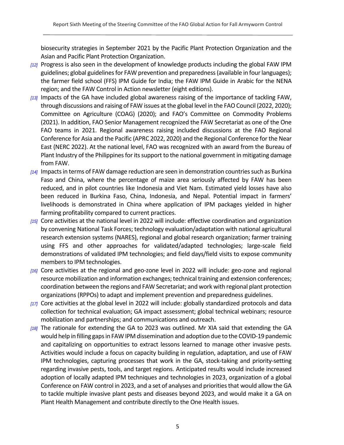biosecurity strategies in September 2021 by the Pacific Plant Protection Organization and the Asian and Pacific Plant Protection Organization.

- *[12]* Progress is also seen in the development of knowledge products including the global FAW IPM guidelines; global guidelines for FAW prevention and preparedness (available in four languages); the farmer field school (FFS) IPM Guide for India; the FAW IPM Guide in Arabic for the NENA region; and the FAW Control in Action newsletter (eight editions).
- *[13]* Impacts of the GA have included global awareness raising of the importance of tackling FAW, through discussions and raising of FAW issues at the global level in the FAO Council (2022, 2020); Committee on Agriculture (COAG) (2020); and FAO's Committee on Commodity Problems (2021). In addition, FAO Senior Management recognized the FAW Secretariat as one of the One FAO teams in 2021. Regional awareness raising included discussions at the FAO Regional Conference for Asia and the Pacific (APRC 2022, 2020) and the Regional Conference for the Near East (NERC 2022). At the national level, FAO was recognized with an award from the Bureau of Plant Industry of the Philippines for its support to the national government in mitigating damage from FAW.
- *[14]* Impacts in terms of FAW damage reduction are seen in demonstration countries such as Burkina Faso and China, where the percentage of maize area seriously affected by FAW has been reduced, and in pilot countries like Indonesia and Viet Nam. Estimated yield losses have also been reduced in Burkina Faso, China, Indonesia, and Nepal. Potential impact in farmers' livelihoods is demonstrated in China where application of IPM packages yielded in higher farming profitability compared to current practices.
- *[15]* Core activities at the national level in 2022 will include: effective coordination and organization by convening National Task Forces; technology evaluation/adaptation with national agricultural research extension systems (NARES), regional and global research organization; farmer training using FFS and other approaches for validated/adapted technologies; large-scale field demonstrations of validated IPM technologies; and field days/field visits to expose community members to IPM technologies.
- *[16]* Core activities at the regional and geo-zone level in 2022 will include: geo-zone and regional resource mobilization and information exchanges; technical training and extension conferences; coordination between the regions and FAW Secretariat; and work with regional plant protection organizations (RPPOs) to adapt and implement prevention and preparedness guidelines.
- *[17]* Core activities at the global level in 2022 will include: globally standardized protocols and data collection for technical evaluation; GA impact assessment; global technical webinars; resource mobilization and partnerships; and communications and outreach.
- *[18]* The rationale for extending the GA to 2023 was outlined. Mr XIA said that extending the GA would help in filling gaps in FAW IPM dissemination and adoption due to the COVID-19 pandemic and capitalizing on opportunities to extract lessons learned to manage other invasive pests. Activities would include a focus on capacity building in regulation, adaptation, and use of FAW IPM technologies, capturing processes that work in the GA, stock-taking and priority-setting regarding invasive pests, tools, and target regions. Anticipated results would include increased adoption of locally adapted IPM techniques and technologies in 2023, organization of a global Conference on FAW control in 2023, and a set of analyses and priorities that would allow the GA to tackle multiple invasive plant pests and diseases beyond 2023, and would make it a GA on Plant Health Management and contribute directly to the One Health issues.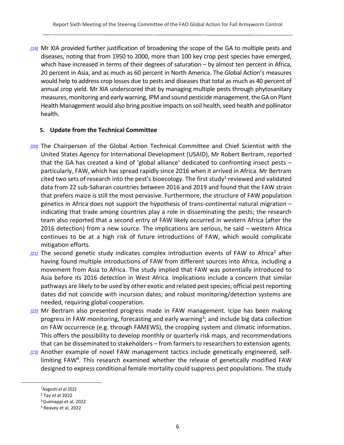*[19]* Mr XIA provided further justification of broadening the scope of the GA to multiple pests and diseases, noting that from 1950 to 2000, more than 100 key crop pest species have emerged, which have increased in terms of their degrees of saturation – by almost ten percent in Africa, 20 percent in Asia, and as much as 60 percent in North America. The Global Action's measures would help to address crop losses due to pests and diseases that total as much as 40 percent of annual crop yield. Mr XIA underscored that by managing multiple pests through phytosanitary measures, monitoring and early warning, IPM and sound pesticide management, the GA on Plant Health Management would also bring positive impacts on soil health, seed health and pollinator health.

#### <span id="page-5-0"></span>**5. Update from the Technical Committee**

- *[20]* The Chairperson of the Global Action Technical Committee and Chief Scientist with the United States Agency for International Development (USAID), Mr Robert Bertram, reported that the GA has created a kind of 'global alliance' dedicated to confronting insect pests – particularly, FAW, which has spread rapidly since 2016 when it arrived in Africa. Mr Bertram cited two sets of research into the pest's bioecology. The first study<sup>1</sup> reviewed and validated data from 22 sub-Saharan countries between 2016 and 2019 and found that the FAW strain that prefers maize is still the most pervasive. Furthermore, the structure of FAW population genetics in Africa does not support the hypothesis of trans-continental natural migration – indicating that trade among countries play a role in disseminating the pests; the research team also reported that a second entry of FAW likely occurred in western Africa (after the 2016 detection) from a new source. The implications are serious, he said – western Africa continues to be at a high risk of future introductions of FAW, which would complicate mitigation efforts.
- <sup>[21]</sup> The second genetic study indicates complex introduction events of FAW to Africa<sup>2</sup> after having found multiple introductions of FAW from different sources into Africa, including a movement from Asia to Africa. The study implied that FAW was potentially introduced to Asia before its 2016 detection in West Africa. Implications include a concern that similar pathways are likely to be used by other exotic and related pest species; official pest reporting dates did not coincide with incursion dates; and robust monitoring/detection systems are needed, requiring global cooperation.
- *[22]* Mr Bertram also presented progress made in FAW management. Icipe has been making progress in FAW monitoring, forecasting and early warning<sup>3</sup>; and include big data collection on FAW occurrence (e.g. through FAMEWS), the cropping system and climatic information. This offers the possibility to develop monthly or quarterly risk maps, and recommendations that can be disseminated to stakeholders – from farmers to researchers to extension agents.
- *[23]* Another example of novel FAW management tactics include genetically engineered, selflimiting FAW<sup>4</sup>. This research examined whether the release of genetically modified FAW designed to express conditional female mortality could suppress pest populations. The study

<sup>1</sup>Nagoshi *et al* 2022

<sup>2</sup> Tay *et al* 2022

<sup>3</sup>Guimappi et al, 2022

<sup>4</sup> Reavey et al, 2022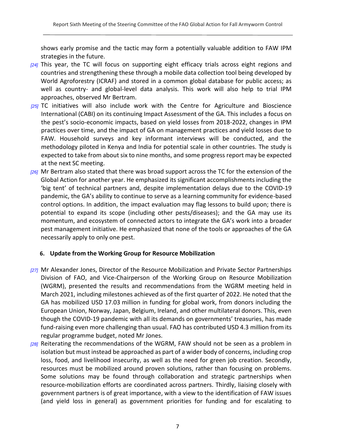shows early promise and the tactic may form a potentially valuable addition to FAW IPM strategies in the future.

- *[24]* This year, the TC will focus on supporting eight efficacy trials across eight regions and countries and strengthening these through a mobile data collection tool being developed by World Agroforestry (ICRAF) and stored in a common global database for public access; as well as country- and global-level data analysis. This work will also help to trial IPM approaches, observed Mr Bertram.
- *[25]* TC initiatives will also include work with the Centre for Agriculture and Bioscience International (CABI) on its continuing Impact Assessment of the GA. This includes a focus on the pest's socio-economic impacts, based on yield losses from 2018-2022, changes in IPM practices over time, and the impact of GA on management practices and yield losses due to FAW. Household surveys and key informant interviews will be conducted, and the methodology piloted in Kenya and India for potential scale in other countries. The study is expected to take from about six to nine months, and some progress report may be expected at the next SC meeting.
- *[26]* Mr Bertram also stated that there was broad support across the TC for the extension of the Global Action for another year. He emphasized its significant accomplishments including the 'big tent' of technical partners and, despite implementation delays due to the COVID-19 pandemic, the GA's ability to continue to serve as a learning community for evidence-based control options. In addition, the impact evaluation may flag lessons to build upon; there is potential to expand its scope (including other pests/diseases); and the GA may use its momentum, and ecosystem of connected actors to integrate the GA's work into a broader pest management initiative. He emphasized that none of the tools or approaches of the GA necessarily apply to only one pest.

#### <span id="page-6-0"></span>**6. Update from the Working Group for Resource Mobilization**

- *[27]* Mr Alexander Jones, Director of the Resource Mobilization and Private Sector Partnerships Division of FAO, and Vice-Chairperson of the Working Group on Resource Mobilization (WGRM), presented the results and recommendations from the WGRM meeting held in March 2021, including milestones achieved as of the first quarter of 2022. He noted that the GA has mobilized USD 17.03 million in funding for global work, from donors including the European Union, Norway, Japan, Belgium, Ireland, and other multilateral donors. This, even though the COVID-19 pandemic with all its demands on governments' treasuries, has made fund-raising even more challenging than usual. FAO has contributed USD 4.3 million from its regular programme budget, noted Mr Jones.
- *[28]* Reiterating the recommendations of the WGRM, FAW should not be seen as a problem in isolation but must instead be approached as part of a wider body of concerns, including crop loss, food, and livelihood insecurity, as well as the need for green job creation. Secondly, resources must be mobilized around proven solutions, rather than focusing on problems. Some solutions may be found through collaboration and strategic partnerships when resource-mobilization efforts are coordinated across partners. Thirdly, liaising closely with government partners is of great importance, with a view to the identification of FAW issues (and yield loss in general) as government priorities for funding and for escalating to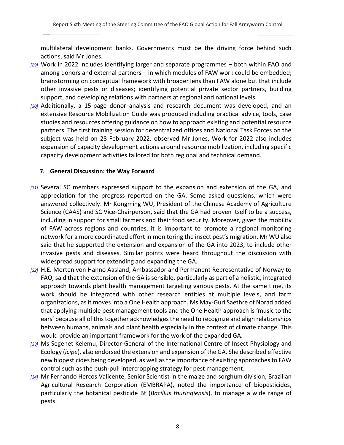multilateral development banks. Governments must be the driving force behind such actions, said Mr Jones.

- *[29]* Work in 2022 includes identifying larger and separate programmes both within FAO and among donors and external partners – in which modules of FAW work could be embedded; brainstorming on conceptual framework with broader lens than FAW alone but that include other invasive pests or diseases; identifying potential private sector partners, building support, and developing relations with partners at regional and national levels.
- *[30]* Additionally, a 15-page donor analysis and research document was developed, and an extensive Resource Mobilization Guide was produced including practical advice, tools, case studies and resources offering guidance on how to approach existing and potential resource partners. The first training session for decentralized offices and National Task Forces on the subject was held on 28 February 2022, observed Mr Jones. Work for 2022 also includes expansion of capacity development actions around resource mobilization, including specific capacity development activities tailored for both regional and technical demand.

#### <span id="page-7-0"></span>**7. General Discussion: the Way Forward**

- [31] Several SC members expressed support to the expansion and extension of the GA, and appreciation for the progress reported on the GA. Some asked questions, which were answered collectively. Mr Kongming WU, President of the Chinese Academy of Agriculture Science (CAAS) and SC Vice-Chairperson, said that the GA had proven itself to be a success, including in support for small farmers and their food security. Moreover, given the mobility of FAW across regions and countries, it is important to promote a regional monitoring network for a more coordinated effort in monitoring the insect pest's migration. Mr WU also said that he supported the extension and expansion of the GA into 2023, to include other invasive pests and diseases. Similar points were heard throughout the discussion with widespread support for extending and expanding the GA.
- *[32]* H.E. Morten von Hanno Aasland, Ambassador and Permanent Representative of Norway to FAO, said that the extension of the GA is sensible, particularly as part of a holistic, integrated approach towards plant health management targeting various pests. At the same time, its work should be integrated with other research entities at multiple levels, and farm organizations, as it moves into a One Health approach. Ms May-Guri Saethre of Norad added that applying multiple pest management tools and the One Health approach is 'music to the ears' because all of this together acknowledges the need to recognize and align relationships between humans, animals and plant health especially in the context of climate change. This would provide an important framework for the work of the expanded GA.
- *[33]* Ms Segenet Kelemu, Director-General of the International Centre of Insect Physiology and Ecology (*icipe*), also endorsed the extension and expansion of the GA. She described effective new biopesticides being developed, as well as the importance of existing approaches to FAW control such as the push-pull intercropping strategy for pest management.
- *[34]* Mr Fernando Hercos Valicente, Senior Scientist in the maize and sorghum division, Brazilian Agricultural Research Corporation (EMBRAPA), noted the importance of biopesticides, particularly the botanical pesticide Bt (*Bacillus thuringiensis*), to manage a wide range of pests.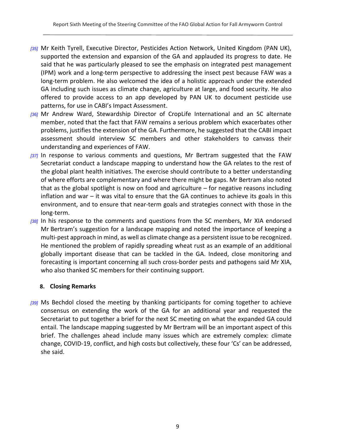- *[35]* Mr Keith Tyrell, Executive Director, Pesticides Action Network, United Kingdom (PAN UK), supported the extension and expansion of the GA and applauded its progress to date. He said that he was particularly pleased to see the emphasis on integrated pest management (IPM) work and a long-term perspective to addressing the insect pest because FAW was a long-term problem. He also welcomed the idea of a holistic approach under the extended GA including such issues as climate change, agriculture at large, and food security. He also offered to provide access to an app developed by PAN UK to document pesticide use patterns, for use in CABI's Impact Assessment.
- *[36]* Mr Andrew Ward, Stewardship Director of CropLife International and an SC alternate member, noted that the fact that FAW remains a serious problem which exacerbates other problems, justifies the extension of the GA. Furthermore, he suggested that the CABI impact assessment should interview SC members and other stakeholders to canvass their understanding and experiences of FAW.
- *[37]* In response to various comments and questions, Mr Bertram suggested that the FAW Secretariat conduct a landscape mapping to understand how the GA relates to the rest of the global plant health initiatives. The exercise should contribute to a better understanding of where efforts are complementary and where there might be gaps. Mr Bertram also noted that as the global spotlight is now on food and agriculture – for negative reasons including inflation and war – it was vital to ensure that the GA continues to achieve its goals in this environment, and to ensure that near-term goals and strategies connect with those in the long-term.
- *[38]* In his response to the comments and questions from the SC members, Mr XIA endorsed Mr Bertram's suggestion for a landscape mapping and noted the importance of keeping a multi-pest approach in mind, as well as climate change as a persistent issue to be recognized. He mentioned the problem of rapidly spreading wheat rust as an example of an additional globally important disease that can be tackled in the GA. Indeed, close monitoring and forecasting is important concerning all such cross-border pests and pathogens said Mr XIA, who also thanked SC members for their continuing support.

#### <span id="page-8-0"></span>**8. Closing Remarks**

*[39]* Ms Bechdol closed the meeting by thanking participants for coming together to achieve consensus on extending the work of the GA for an additional year and requested the Secretariat to put together a brief for the next SC meeting on what the expanded GA could entail. The landscape mapping suggested by Mr Bertram will be an important aspect of this brief. The challenges ahead include many issues which are extremely complex: climate change, COVID-19, conflict, and high costs but collectively, these four 'Cs' can be addressed, she said.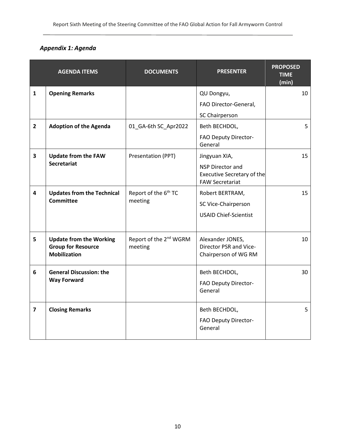### *Appendix 1: Agenda*

<span id="page-9-0"></span>

|                         | <b>AGENDA ITEMS</b>                                                                | <b>DOCUMENTS</b>                              | <b>PRESENTER</b>                                                                                 | <b>PROPOSED</b><br><b>TIME</b><br>(min) |
|-------------------------|------------------------------------------------------------------------------------|-----------------------------------------------|--------------------------------------------------------------------------------------------------|-----------------------------------------|
| $\mathbf{1}$            | <b>Opening Remarks</b>                                                             |                                               | QU Dongyu,<br>FAO Director-General,                                                              | 10                                      |
| $\overline{2}$          | <b>Adoption of the Agenda</b>                                                      | 01_GA-6th SC_Apr2022                          | SC Chairperson<br>Beth BECHDOL,<br>FAO Deputy Director-<br>General                               | 5                                       |
| $\overline{\mathbf{3}}$ | <b>Update from the FAW</b><br><b>Secretariat</b>                                   | Presentation (PPT)                            | Jingyuan XIA,<br>NSP Director and<br><b>Executive Secretary of the</b><br><b>FAW Secretariat</b> | 15                                      |
| 4                       | <b>Updates from the Technical</b><br><b>Committee</b>                              | Report of the 6 <sup>th</sup> TC<br>meeting   | Robert BERTRAM,<br>SC Vice-Chairperson<br><b>USAID Chief-Scientist</b>                           | 15                                      |
| 5                       | <b>Update from the Working</b><br><b>Group for Resource</b><br><b>Mobilization</b> | Report of the 2 <sup>nd</sup> WGRM<br>meeting | Alexander JONES,<br>Director PSR and Vice-<br>Chairperson of WG RM                               | 10                                      |
| 6                       | <b>General Discussion: the</b><br><b>Way Forward</b>                               |                                               | Beth BECHDOL,<br>FAO Deputy Director-<br>General                                                 | 30                                      |
| $\overline{7}$          | <b>Closing Remarks</b>                                                             |                                               | Beth BECHDOL,<br>FAO Deputy Director-<br>General                                                 | 5                                       |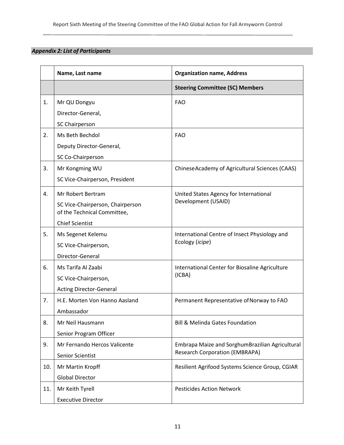### <span id="page-10-0"></span>*Appendix 2: List of Participants*

|     | Name, Last name                   | <b>Organization name, Address</b>                                |
|-----|-----------------------------------|------------------------------------------------------------------|
|     |                                   | <b>Steering Committee (SC) Members</b>                           |
| 1.  | Mr QU Dongyu<br>Director-General, | <b>FAO</b>                                                       |
|     | SC Chairperson                    |                                                                  |
| 2.  | Ms Beth Bechdol                   | <b>FAO</b>                                                       |
|     | Deputy Director-General,          |                                                                  |
|     | SC Co-Chairperson                 |                                                                  |
| 3.  | Mr Kongming WU                    | ChineseAcademy of Agricultural Sciences (CAAS)                   |
|     | SC Vice-Chairperson, President    |                                                                  |
| 4.  | Mr Robert Bertram                 | United States Agency for International                           |
|     | SC Vice-Chairperson, Chairperson  | Development (USAID)                                              |
|     | of the Technical Committee,       |                                                                  |
|     | <b>Chief Scientist</b>            |                                                                  |
| 5.  | Ms Segenet Kelemu                 | International Centre of Insect Physiology and<br>Ecology (icipe) |
|     | SC Vice-Chairperson,              |                                                                  |
|     | Director-General                  |                                                                  |
| 6.  | Ms Tarifa Al Zaabi                | International Center for Biosaline Agriculture<br>(ICBA)         |
|     | SC Vice-Chairperson,              |                                                                  |
|     | <b>Acting Director-General</b>    |                                                                  |
| 7.  | H.E. Morten Von Hanno Aasland     | Permanent Representative of Norway to FAO                        |
|     | Ambassador                        |                                                                  |
| 8.  | Mr Neil Hausmann                  | <b>Bill &amp; Melinda Gates Foundation</b>                       |
|     | Senior Program Officer            |                                                                  |
| 9.  | Mr Fernando Hercos Valicente      | Embrapa Maize and SorghumBrazilian Agricultural                  |
|     | Senior Scientist                  | <b>Research Corporation (EMBRAPA)</b>                            |
| 10. | Mr Martin Kropff                  | Resilient Agrifood Systems Science Group, CGIAR                  |
|     | <b>Global Director</b>            |                                                                  |
| 11. | Mr Keith Tyrell                   | <b>Pesticides Action Network</b>                                 |
|     | <b>Executive Director</b>         |                                                                  |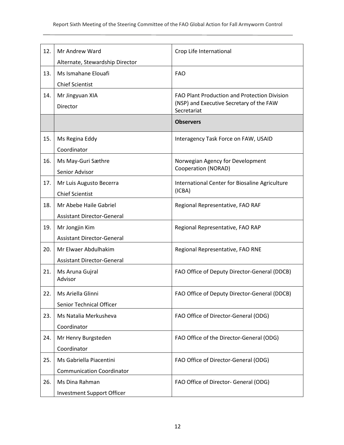| 12. | Mr Andrew Ward                    | Crop Life International                                 |
|-----|-----------------------------------|---------------------------------------------------------|
|     | Alternate, Stewardship Director   |                                                         |
| 13. | Ms Ismahane Elouafi               | <b>FAO</b>                                              |
|     | <b>Chief Scientist</b>            |                                                         |
| 14. | Mr Jingyuan XIA                   | FAO Plant Production and Protection Division            |
|     | Director                          | (NSP) and Executive Secretary of the FAW<br>Secretariat |
|     |                                   | <b>Observers</b>                                        |
|     |                                   |                                                         |
| 15. | Ms Regina Eddy                    | Interagency Task Force on FAW, USAID                    |
|     | Coordinator                       |                                                         |
| 16. | Ms May-Guri Sæthre                | Norwegian Agency for Development                        |
|     | Senior Advisor                    | Cooperation (NORAD)                                     |
| 17. | Mr Luis Augusto Becerra           | International Center for Biosaline Agriculture          |
|     | <b>Chief Scientist</b>            | (ICBA)                                                  |
| 18. | Mr Abebe Haile Gabriel            | Regional Representative, FAO RAF                        |
|     | <b>Assistant Director-General</b> |                                                         |
| 19. | Mr Jongjin Kim                    | Regional Representative, FAO RAP                        |
|     | <b>Assistant Director-General</b> |                                                         |
| 20. | Mr Elwaer Abdulhakim              | Regional Representative, FAO RNE                        |
|     | <b>Assistant Director-General</b> |                                                         |
| 21. | Ms Aruna Gujral                   | FAO Office of Deputy Director-General (DDCB)            |
|     | Advisor                           |                                                         |
| 22. | Ms Ariella Glinni                 | FAO Office of Deputy Director-General (DDCB)            |
|     | <b>Senior Technical Officer</b>   |                                                         |
| 23. | Ms Natalia Merkusheva             | FAO Office of Director-General (ODG)                    |
|     | Coordinator                       |                                                         |
| 24. | Mr Henry Burgsteden               | FAO Office of the Director-General (ODG)                |
|     | Coordinator                       |                                                         |
| 25. | Ms Gabriella Piacentini           | FAO Office of Director-General (ODG)                    |
|     | <b>Communication Coordinator</b>  |                                                         |
| 26. | Ms Dina Rahman                    | FAO Office of Director- General (ODG)                   |
|     | <b>Investment Support Officer</b> |                                                         |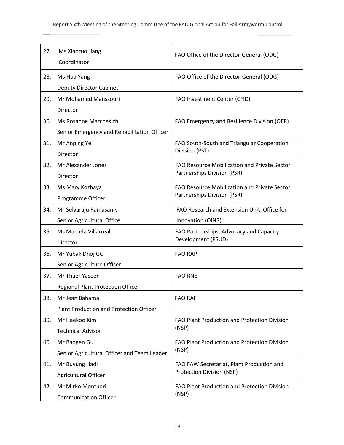| 27. | Ms Xiaoruo Jiang                               |                                              |
|-----|------------------------------------------------|----------------------------------------------|
|     | Coordinator                                    | FAO Office of the Director-General (ODG)     |
|     |                                                |                                              |
| 28. | Ms Hua Yang                                    | FAO Office of the Director-General (ODG)     |
|     | <b>Deputy Director Cabinet</b>                 |                                              |
| 29. | Mr Mohamed Manssouri                           | FAO Investment Center (CFID)                 |
|     | Director                                       |                                              |
| 30. | Ms Rosanne Marchesich                          | FAO Emergency and Resilience Division (OER)  |
|     | Senior Emergency and Rehabilitation Officer    |                                              |
| 31. | Mr Anping Ye                                   | FAO South-South and Triangular Cooperation   |
|     | Director                                       | Division (PST)                               |
| 32. | Mr Alexander Jones                             | FAO Resource Mobilization and Private Sector |
|     | Director                                       | Partnerships Division (PSR)                  |
| 33. | Ms Mary Kozhaya                                | FAO Resource Mobilization and Private Sector |
|     | Programme Officer                              | Partnerships Division (PSR)                  |
| 34. | Mr Selvaraju Ramasamy                          | FAO Research and Extension Unit, Office for  |
|     | Senior Agricultural Office                     | Innovation (OINR)                            |
| 35. | Ms Marcela Villarreal                          | FAO Partnerships, Advocacy and Capacity      |
|     | Director                                       | Development (PSUD)                           |
| 36. | Mr Yubak Dhoj GC                               | <b>FAO RAP</b>                               |
|     | Senior Agriculture Officer                     |                                              |
| 37. | Mr Thaer Yaseen                                | <b>FAO RNE</b>                               |
|     | <b>Regional Plant Protection Officer</b>       |                                              |
| 38. | Mr Jean Bahama                                 | <b>FAO RAF</b>                               |
|     | <b>Plant Production and Protection Officer</b> |                                              |
| 39. | Mr Haekoo Kim                                  | FAO Plant Production and Protection Division |
|     | <b>Technical Advisor</b>                       | (NSP)                                        |
| 40. | Mr Baogen Gu                                   | FAO Plant Production and Protection Division |
|     | Senior Agricultural Officer and Team Leader    | (NSP)                                        |
| 41. | Mr Buyung Hadi                                 | FAO FAW Secretariat, Plant Production and    |
|     | Agricultural Officer                           | Protection Division (NSP)                    |
| 42. | Mr Mirko Montuori                              | FAO Plant Production and Protection Division |
|     | <b>Communication Officer</b>                   | (NSP)                                        |